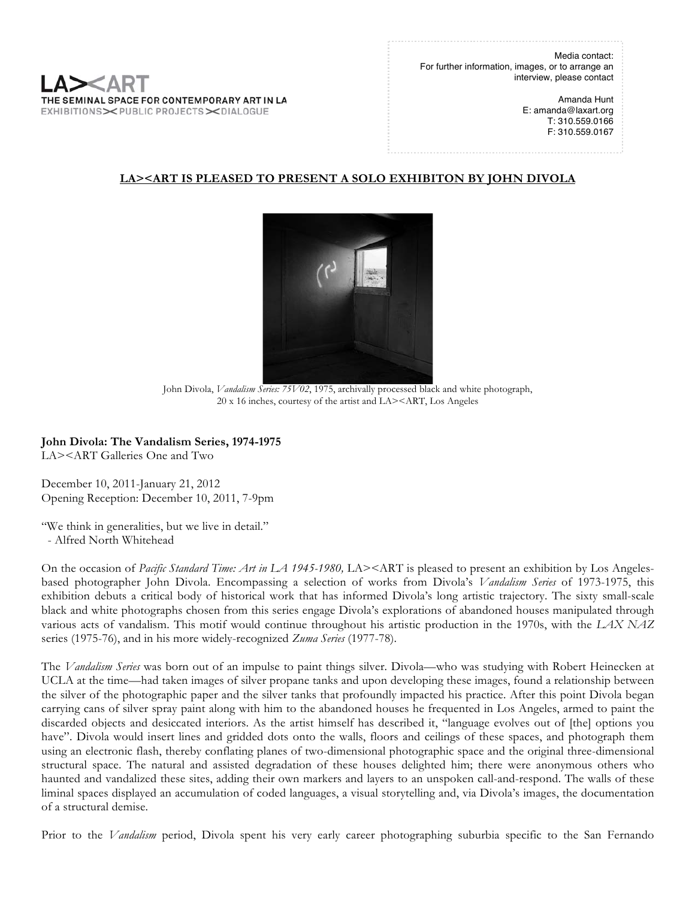Media contact: For further information, images, or to arrange an interview, please contact

> Amanda Hunt E: amanda@laxart.org T: 310.559.0166 F: 310.559.0167

# **LA><ART IS PLEASED TO PRESENT A SOLO EXHIBITON BY JOHN DIVOLA**



John Divola, *Vandalism Series: 75V02*, 1975, archivally processed black and white photograph, 20 x 16 inches, courtesy of the artist and LA><ART, Los Angeles

**John Divola: The Vandalism Series, 1974-1975**

SEMINAL SPACE FOR CONTEMPORARY ART IN LA IBITIONS><PUBLIC PROJECTS><DIALOGUE

LA><ART Galleries One and Two

December 10, 2011-January 21, 2012 Opening Reception: December 10, 2011, 7-9pm

"We think in generalities, but we live in detail."

- Alfred North Whitehead

On the occasion of *Pacific Standard Time: Art in LA 1945-1980*, LA><ART is pleased to present an exhibition by Los Angelesbased photographer John Divola. Encompassing a selection of works from Divola's *Vandalism Series* of 1973-1975, this exhibition debuts a critical body of historical work that has informed Divola's long artistic trajectory. The sixty small-scale black and white photographs chosen from this series engage Divola's explorations of abandoned houses manipulated through various acts of vandalism. This motif would continue throughout his artistic production in the 1970s, with the *LAX NAZ*  series (1975-76), and in his more widely-recognized *Zuma Series* (1977-78).

The *Vandalism Series* was born out of an impulse to paint things silver. Divola—who was studying with Robert Heinecken at UCLA at the time—had taken images of silver propane tanks and upon developing these images, found a relationship between the silver of the photographic paper and the silver tanks that profoundly impacted his practice. After this point Divola began carrying cans of silver spray paint along with him to the abandoned houses he frequented in Los Angeles, armed to paint the discarded objects and desiccated interiors. As the artist himself has described it, "language evolves out of [the] options you have". Divola would insert lines and gridded dots onto the walls, floors and ceilings of these spaces, and photograph them using an electronic flash, thereby conflating planes of two-dimensional photographic space and the original three-dimensional structural space. The natural and assisted degradation of these houses delighted him; there were anonymous others who haunted and vandalized these sites, adding their own markers and layers to an unspoken call-and-respond. The walls of these liminal spaces displayed an accumulation of coded languages, a visual storytelling and, via Divola's images, the documentation of a structural demise.

Prior to the *Vandalism* period, Divola spent his very early career photographing suburbia specific to the San Fernando